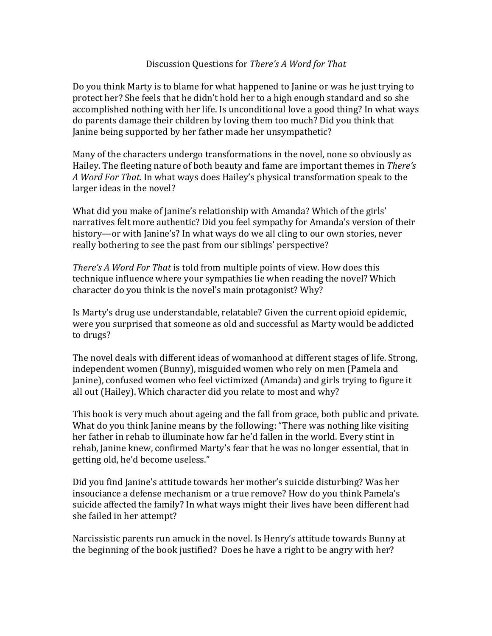## Discussion Questions for *There's A Word for That*

Do you think Marty is to blame for what happened to Janine or was he just trying to protect her? She feels that he didn't hold her to a high enough standard and so she accomplished nothing with her life. Is unconditional love a good thing? In what ways do parents damage their children by loving them too much? Did you think that Janine being supported by her father made her unsympathetic?

Many of the characters undergo transformations in the novel, none so obviously as Hailey. The fleeting nature of both beauty and fame are important themes in *There's* A *Word For That*. In what ways does Hailey's physical transformation speak to the larger ideas in the novel?

What did you make of Janine's relationship with Amanda? Which of the girls' narratives felt more authentic? Did you feel sympathy for Amanda's version of their history—or with Janine's? In what ways do we all cling to our own stories, never really bothering to see the past from our siblings' perspective?

*There's A Word For That* is told from multiple points of view. How does this technique influence where your sympathies lie when reading the novel? Which character do you think is the novel's main protagonist? Why?

Is Marty's drug use understandable, relatable? Given the current opioid epidemic, were you surprised that someone as old and successful as Marty would be addicted to drugs?

The novel deals with different ideas of womanhood at different stages of life. Strong, independent women (Bunny), misguided women who rely on men (Pamela and Janine), confused women who feel victimized (Amanda) and girls trying to figure it all out (Hailey). Which character did you relate to most and why?

This book is very much about ageing and the fall from grace, both public and private. What do you think Janine means by the following: "There was nothing like visiting her father in rehab to illuminate how far he'd fallen in the world. Every stint in rehab, Janine knew, confirmed Marty's fear that he was no longer essential, that in getting old, he'd become useless."

Did you find Janine's attitude towards her mother's suicide disturbing? Was her insouciance a defense mechanism or a true remove? How do you think Pamela's suicide affected the family? In what ways might their lives have been different had she failed in her attempt?

Narcissistic parents run amuck in the novel. Is Henry's attitude towards Bunny at the beginning of the book justified? Does he have a right to be angry with her?